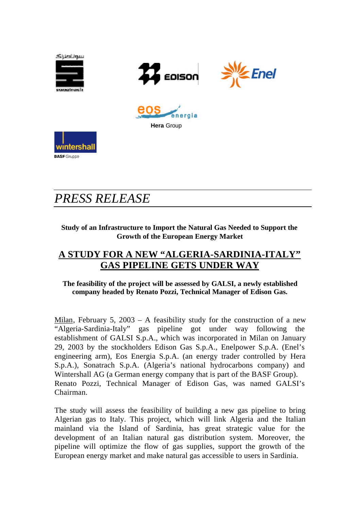

# *PRESS RELEASE*

### **Study of an Infrastructure to Import the Natural Gas Needed to Support the Growth of the European Energy Market**

## **A STUDY FOR A NEW "ALGERIA-SARDINIA-ITALY" GAS PIPELINE GETS UNDER WAY**

### **The feasibility of the project will be assessed by GALSI, a newly established company headed by Renato Pozzi, Technical Manager of Edison Gas.**

Milan, February 5, 2003 – A feasibility study for the construction of a new "Algeria-Sardinia-Italy" gas pipeline got under way following the establishment of GALSI S.p.A., which was incorporated in Milan on January 29, 2003 by the stockholders Edison Gas S.p.A., Enelpower S.p.A. (Enel's engineering arm), Eos Energia S.p.A. (an energy trader controlled by Hera S.p.A.), Sonatrach S.p.A. (Algeria's national hydrocarbons company) and Wintershall AG (a German energy company that is part of the BASF Group). Renato Pozzi, Technical Manager of Edison Gas, was named GALSI's Chairman.

The study will assess the feasibility of building a new gas pipeline to bring Algerian gas to Italy. This project, which will link Algeria and the Italian mainland via the Island of Sardinia, has great strategic value for the development of an Italian natural gas distribution system. Moreover, the pipeline will optimize the flow of gas supplies, support the growth of the European energy market and make natural gas accessible to users in Sardinia.